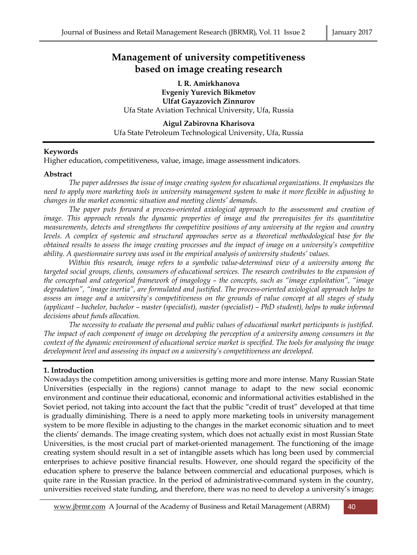# **Management of university competitiveness based on image creating research**

**L R. Amirkhanova Evgeniy Yurevich Bikmetov Ulfat Gayazovich Zinnurov** Ufa State Aviation Technical University, Ufa, Russia

**Aigul Zabirovna Kharisova** Ufa State Petroleum Technological University, Ufa, Russia

## **Keywords**

Higher education, competitiveness, value, image, image assessment indicators.

## **Abstract**

*The paper addresses the issue of image creating system for educational organizations. It emphasizes the need to apply more marketing tools in university management system to make it more flexible in adjusting to changes in the market economic situation and meeting clients' demands.* 

*The paper puts forward a process-oriented axiological approach to the assessment and creation of image. This approach reveals the dynamic properties of image and the prerequisites for its quantitative measurements, detects and strengthens the competitive positions of any university at the region and country levels. A complex of systemic and structural approaches serve as a theoretical methodological base for the obtained results to assess the image creating processes and the impact of image on a university's competitive ability. A questionnaire survey was used in the empirical analysis of university students' values.* 

*Within this research, image refers to a symbolic value-determined view of a university among the targeted social groups, clients, consumers of educational services. The research contributes to the expansion of the conceptual and categorical framework of imagology – the concepts, such as "image exploitation", "image degradation", "image inertia", are formulated and justified. The process-oriented axiological approach helps to assess an image and a university's competitiveness on the grounds of value concept at all stages of study (applicant – bachelor, bachelor – master (specialist), master (specialist) – PhD student), helps to make informed decisions about funds allocation.* 

*The necessity to evaluate the personal and public values of educational market participants is justified. The impact of each component of image on developing the perception of a university among consumers in the context of the dynamic environment of educational service market is specified. The tools for analysing the image development level and assessing its impact on a university's competitiveness are developed.*

## **1. Introduction**

Nowadays the competition among universities is getting more and more intense. Many Russian State Universities (especially in the regions) cannot manage to adapt to the new social economic environment and continue their educational, economic and informational activities established in the Soviet period, not taking into account the fact that the public "credit of trust" developed at that time is gradually diminishing. There is a need to apply more marketing tools in university management system to be more flexible in adjusting to the changes in the market economic situation and to meet the clients' demands. The image creating system, which does not actually exist in most Russian State Universities, is the most crucial part of market-oriented management. The functioning of the image creating system should result in a set of intangible assets which has long been used by commercial enterprises to achieve positive financial results. However, one should regard the specificity of the education sphere to preserve the balance between commercial and educational purposes, which is quite rare in the Russian practice. In the period of administrative-command system in the country, universities received state funding, and therefore, there was no need to develop a university's image;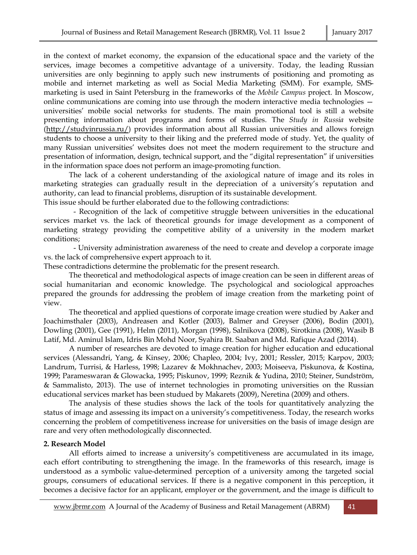in the context of market economy, the expansion of the educational space and the variety of the services, image becomes a competitive advantage of a university. Today, the leading Russian universities are only beginning to apply such new instruments of positioning and promoting as mobile and internet marketing as well as Social Media Marketing (SMM). For example, SMSmarketing is used in Saint Petersburg in the frameworks of the *Mobile Campus* project. In Moscow, online communications are coming into use through the modern interactive media technologies universities' mobile social networks for students. The main promotional tool is still a website presenting information about programs and forms of studies. The *Study in Russia* website (http://studyinrussia.ru/) provides information about all Russian universities and allows foreign students to choose a university to their liking and the preferred mode of study. Yet, the quality of many Russian universities' websites does not meet the modern requirement to the structure and presentation of information, design, technical support, and the "digital representation" if universities in the information space does not perform an image-promoting function.

The lack of a coherent understanding of the axiological nature of image and its roles in marketing strategies can gradually result in the depreciation of a university's reputation and authority, can lead to financial problems, disruption of its sustainable development.

This issue should be further elaborated due to the following contradictions:

- Recognition of the lack of competitive struggle between universities in the educational services market vs. the lack of theoretical grounds for image development as a component of marketing strategy providing the competitive ability of a university in the modern market conditions;

- University administration awareness of the need to create and develop a corporate image vs. the lack of comprehensive expert approach to it.

These contradictions determine the problematic for the present research.

The theoretical and methodological aspects of image creation can be seen in different areas of social humanitarian and economic knowledge. The psychological and sociological approaches prepared the grounds for addressing the problem of image creation from the marketing point of view.

The theoretical and applied questions of corporate image creation were studied by Aaker and Joachimsthaler (2003), Andreasen and Kotler (2003), Balmer and Greyser (2006), Bodin (2001), Dowling (2001), Gee (1991), Helm (2011), Morgan (1998), Salnikova (2008), Sirotkina (2008), Wasib B Latif, Md. Aminul Islam, Idris Bin Mohd Noor, Syahira Bt. Saaban and Md. Rafique Azad (2014).

A number of researches are devoted to image creation for higher education and educational services (Alessandri, Yang, & Kinsey, 2006; Chapleo, 2004; Ivy, 2001; Ressler, 2015; Karpov, 2003; Landrum, Turrisi, & Harless, 1998; Lazarev & Mokhnachev, 2003; Moiseeva, Piskunova, & Kostina, 1999; Parameswaran & Glowacka, 1995; Piskunov, 1999; Reznik & Yudina, 2010; Steiner, Sundström, & Sammalisto, 2013). The use of internet technologies in promoting universities on the Russian educational services market has been studued by Makarets (2009), Neretina (2009) and others.

The analysis of these studies shows the lack of the tools for quantitatively analyzing the status of image and assessing its impact on a university's competitiveness. Today, the research works concerning the problem of competitiveness increase for universities on the basis of image design are rare and very often methodologically disconnected.

# **2. Research Model**

All efforts aimed to increase a university's competitiveness are accumulated in its image, each effort contributing to strengthening the image. In the frameworks of this research, image is understood as a symbolic value-determined perception of a university among the targeted social groups, consumers of educational services. If there is a negative component in this perception, it becomes a decisive factor for an applicant, employer or the government, and the image is difficult to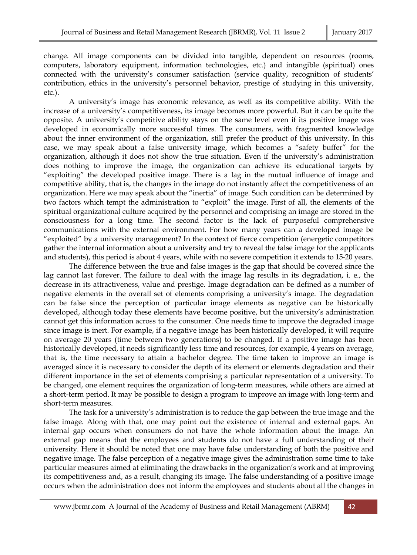change. All image components can be divided into tangible, dependent on resources (rooms, computers, laboratory equipment, information technologies, etc.) and intangible (spiritual) ones connected with the university's consumer satisfaction (service quality, recognition of students' contribution, ethics in the university's personnel behavior, prestige of studying in this university, etc.).

A university's image has economic relevance, as well as its competitive ability. With the increase of a university's competitiveness, its image becomes more powerful. But it can be quite the opposite. A university's competitive ability stays on the same level even if its positive image was developed in economically more successful times. The consumers, with fragmented knowledge about the inner environment of the organization, still prefer the product of this university. In this case, we may speak about a false university image, which becomes a "safety buffer" for the organization, although it does not show the true situation. Even if the university's administration does nothing to improve the image, the organization can achieve its educational targets by "exploiting" the developed positive image. There is a lag in the mutual influence of image and competitive ability, that is, the changes in the image do not instantly affect the competitiveness of an organization. Here we may speak about the "inertia" of image. Such condition can be determined by two factors which tempt the administration to "exploit" the image. First of all, the elements of the spiritual organizational culture acquired by the personnel and comprising an image are stored in the consciousness for a long time. The second factor is the lack of purposeful comprehensive communications with the external environment. For how many years can a developed image be "exploited" by a university management? In the context of fierce competition (energetic competitors gather the internal information about a university and try to reveal the false image for the applicants and students), this period is about 4 years, while with no severe competition it extends to 15-20 years.

The difference between the true and false images is the gap that should be covered since the lag cannot last forever. The failure to deal with the image lag results in its degradation, i. e., the decrease in its attractiveness, value and prestige. Image degradation can be defined as a number of negative elements in the overall set of elements comprising a university's image. The degradation can be false since the perception of particular image elements as negative can be historically developed, although today these elements have become positive, but the university's administration cannot get this information across to the consumer. One needs time to improve the degraded image since image is inert. For example, if a negative image has been historically developed, it will require on average 20 years (time between two generations) to be changed. If a positive image has been historically developed, it needs significantly less time and resources, for example, 4 years on average, that is, the time necessary to attain a bachelor degree. The time taken to improve an image is averaged since it is necessary to consider the depth of its element or elements degradation and their different importance in the set of elements comprising a particular representation of a university. To be changed, one element requires the organization of long-term measures, while others are aimed at a short-term period. It may be possible to design a program to improve an image with long-term and short-term measures.

The task for a university's administration is to reduce the gap between the true image and the false image. Along with that, one may point out the existence of internal and external gaps. An internal gap occurs when consumers do not have the whole information about the image. An external gap means that the employees and students do not have a full understanding of their university. Here it should be noted that one may have false understanding of both the positive and negative image. The false perception of a negative image gives the administration some time to take particular measures aimed at eliminating the drawbacks in the organization's work and at improving its competitiveness and, as a result, changing its image. The false understanding of a positive image occurs when the administration does not inform the employees and students about all the changes in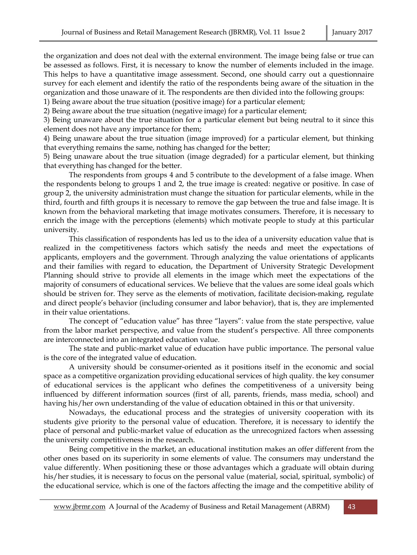the organization and does not deal with the external environment. The image being false or true can be assessed as follows. First, it is necessary to know the number of elements included in the image. This helps to have a quantitative image assessment. Second, one should carry out a questionnaire survey for each element and identify the ratio of the respondents being aware of the situation in the organization and those unaware of it. The respondents are then divided into the following groups:

1) Being aware about the true situation (positive image) for a particular element; 2) Being aware about the true situation (negative image) for a particular element;

3) Being unaware about the true situation for a particular element but being neutral to it since this

element does not have any importance for them;

4) Being unaware about the true situation (image improved) for a particular element, but thinking that everything remains the same, nothing has changed for the better;

5) Being unaware about the true situation (image degraded) for a particular element, but thinking that everything has changed for the better.

The respondents from groups 4 and 5 contribute to the development of a false image. When the respondents belong to groups 1 and 2, the true image is created: negative or positive. In case of group 2, the university administration must change the situation for particular elements, while in the third, fourth and fifth groups it is necessary to remove the gap between the true and false image. It is known from the behavioral marketing that image motivates consumers. Therefore, it is necessary to enrich the image with the perceptions (elements) which motivate people to study at this particular university.

This classification of respondents has led us to the idea of a university education value that is realized in the competitiveness factors which satisfy the needs and meet the expectations of applicants, employers and the government. Through analyzing the value orientations of applicants and their families with regard to education, the Department of University Strategic Development Planning should strive to provide all elements in the image which meet the expectations of the majority of consumers of educational services. We believe that the values are some ideal goals which should be striven for. They serve as the elements of motivation, facilitate decision-making, regulate and direct people's behavior (including consumer and labor behavior), that is, they are implemented in their value orientations.

The concept of "education value" has three "layers": value from the state perspective, value from the labor market perspective, and value from the student's perspective. All three components are interconnected into an integrated education value.

The state and public-market value of education have public importance. The personal value is the core of the integrated value of education.

A university should be consumer-oriented as it positions itself in the economic and social space as a competitive organization providing educational services of high quality. the key consumer of educational services is the applicant who defines the competitiveness of a university being influenced by different information sources (first of all, parents, friends, mass media, school) and having his/her own understanding of the value of education obtained in this or that university.

Nowadays, the educational process and the strategies of university cooperation with its students give priority to the personal value of education. Therefore, it is necessary to identify the place of personal and public-market value of education as the unrecognized factors when assessing the university competitiveness in the research.

Being competitive in the market, an educational institution makes an offer different from the other ones based on its superiority in some elements of value. The consumers may understand the value differently. When positioning these or those advantages which a graduate will obtain during his/her studies, it is necessary to focus on the personal value (material, social, spiritual, symbolic) of the educational service, which is one of the factors affecting the image and the competitive ability of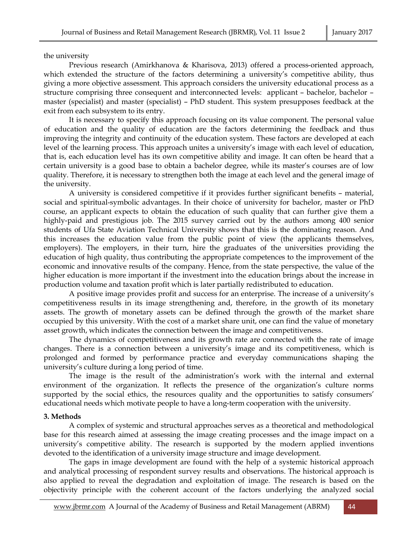the university

Previous research (Amirkhanova & Kharisova, 2013) offered a process-oriented approach, which extended the structure of the factors determining a university's competitive ability, thus giving a more objective assessment. This approach considers the university educational process as a structure comprising three consequent and interconnected levels: applicant – bachelor, bachelor – master (specialist) and master (specialist) – PhD student. This system presupposes feedback at the exit from each subsystem to its entry.

It is necessary to specify this approach focusing on its value component. The personal value of education and the quality of education are the factors determining the feedback and thus improving the integrity and continuity of the education system. These factors are developed at each level of the learning process. This approach unites a university's image with each level of education, that is, each education level has its own competitive ability and image. It can often be heard that a certain university is a good base to obtain a bachelor degree, while its master's courses are of low quality. Therefore, it is necessary to strengthen both the image at each level and the general image of the university.

A university is considered competitive if it provides further significant benefits – material, social and spiritual-symbolic advantages. In their choice of university for bachelor, master or PhD course, an applicant expects to obtain the education of such quality that can further give them a highly-paid and prestigious job. The 2015 survey carried out by the authors among 400 senior students of Ufa State Aviation Technical University shows that this is the dominating reason. And this increases the education value from the public point of view (the applicants themselves, employers). The employers, in their turn, hire the graduates of the universities providing the education of high quality, thus contributing the appropriate competences to the improvement of the economic and innovative results of the company. Hence, from the state perspective, the value of the higher education is more important if the investment into the education brings about the increase in production volume and taxation profit which is later partially redistributed to education.

A positive image provides profit and success for an enterprise. The increase of a university's competitiveness results in its image strengthening and, therefore, in the growth of its monetary assets. The growth of monetary assets can be defined through the growth of the market share occupied by this university. With the cost of a market share unit, one can find the value of monetary asset growth, which indicates the connection between the image and competitiveness.

The dynamics of competitiveness and its growth rate are connected with the rate of image changes. There is a connection between a university's image and its competitiveness, which is prolonged and formed by performance practice and everyday communications shaping the university's culture during a long period of time.

The image is the result of the administration's work with the internal and external environment of the organization. It reflects the presence of the organization's culture norms supported by the social ethics, the resources quality and the opportunities to satisfy consumers' educational needs which motivate people to have a long-term cooperation with the university.

# **3. Methods**

A complex of systemic and structural approaches serves as a theoretical and methodological base for this research aimed at assessing the image creating processes and the image impact on a university's competitive ability. The research is supported by the modern applied inventions devoted to the identification of a university image structure and image development.

The gaps in image development are found with the help of a systemic historical approach and analytical processing of respondent survey results and observations. The historical approach is also applied to reveal the degradation and exploitation of image. The research is based on the objectivity principle with the coherent account of the factors underlying the analyzed social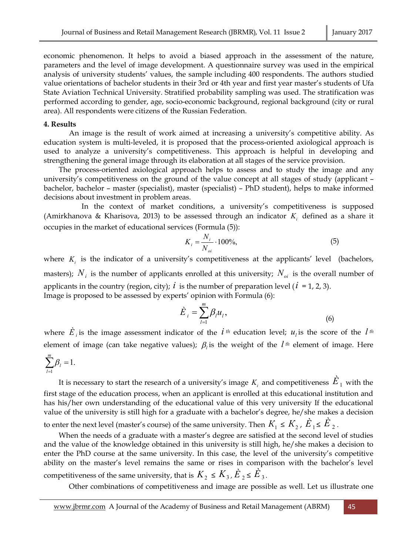economic phenomenon. It helps to avoid a biased approach in the assessment of the nature, parameters and the level of image development. A questionnaire survey was used in the empirical analysis of university students' values, the sample including 400 respondents. The authors studied value orientations of bachelor students in their 3rd or 4th year and first year master's students of Ufa State Aviation Technical University. Stratified probability sampling was used. The stratification was performed according to gender, age, socio-economic background, regional background (city or rural area). All respondents were citizens of the Russian Federation.

#### **4. Results**

An image is the result of work aimed at increasing a university's competitive ability. As education system is multi-leveled, it is proposed that the process-oriented axiological approach is used to analyze a university's competitiveness. This approach is helpful in developing and strengthening the general image through its elaboration at all stages of the service provision.

The process-oriented axiological approach helps to assess and to study the image and any university's competitiveness on the ground of the value concept at all stages of study (applicant – bachelor, bachelor – master (specialist), master (specialist) – PhD student), helps to make informed decisions about investment in problem areas.

In the context of market conditions, a university's competitiveness is supposed (Amirkhanova & Kharisova, 2013) to be assessed through an indicator *K<sup>i</sup>* defined as a share it occupies in the market of educational services (Formula (5)):

$$
K_i = \frac{N_i}{N_{oi}} \cdot 100\%,\tag{5}
$$

where  $K_i$  is the indicator of a university's competitiveness at the applicants' level (bachelors, masters);  $N_i$  is the number of applicants enrolled at this university;  $N_{oi}$  is the overall number of applicants in the country (region, city);  $i$  is the number of preparation level ( $i = 1, 2, 3$ ). Image is proposed to be assessed by experts' opinion with Formula (6):

$$
\dot{E}_i = \sum_{l=1}^m \beta_l u_l,\tag{6}
$$

where  $\hat{E}_i$  is the image assessment indicator of the  $i$  <sup>th</sup> education level;  $u_i$  is the score of the  $l$  <sup>th</sup> element of image (can take negative values);  $\beta_l$  is the weight of the  $l$ <sup>th</sup> element of image. Here

$$
\sum_{l=1}^m \beta_l = 1.
$$

It is necessary to start the research of a university's image  $K_i$  and competitiveness  $\dot{E}_{\,1}$  with the first stage of the education process, when an applicant is enrolled at this educational institution and has his/her own understanding of the educational value of this very university If the educational value of the university is still high for a graduate with a bachelor's degree, he/she makes a decision

to enter the next level (master's course) of the same university. Then  $K_{1}\leq K_{2}$  ,  $\dot{E}_{1}\leq\dot{E}_{2}$  .

When the needs of a graduate with a master's degree are satisfied at the second level of studies and the value of the knowledge obtained in this university is still high, he/she makes a decision to enter the PhD course at the same university. In this case, the level of the university's competitive ability on the master's level remains the same or rises in comparison with the bachelor's level competitiveness of the same university, that is  $K_{2} \leq K_{3}$  ,  $\dot{E}_{2} \leq \dot{E}_{3}$ .

Other combinations of competitiveness and image are possible as well. Let us illustrate one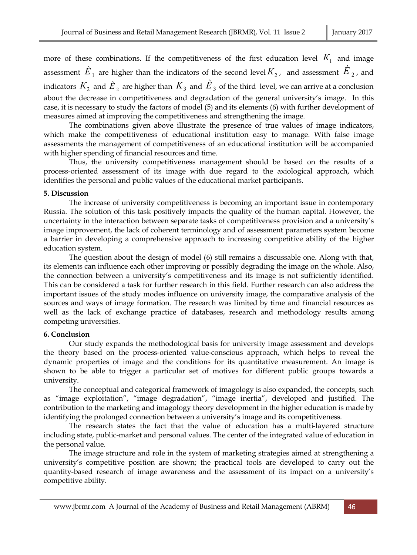more of these combinations. If the competitiveness of the first education level  $K_{1}^{}$  and image assessment  $\dot{E}_{_1}$  are higher than the indicators of the second level $K_{_2}$ , and assessment  $\dot{E}_{_2}$ , and indicators  $K_{_2}$  and  $\dot{E}_{\,2}$  are higher than  $\,K_{_3}$  and  $\,\dot{E}_{\,3}$  of the third level, we can arrive at a conclusion about the decrease in competitiveness and degradation of the general university's image. In this case, it is necessary to study the factors of model (5) and its elements (6) with further development of measures aimed at improving the competitiveness and strengthening the image.

The combinations given above illustrate the presence of true values of image indicators, which make the competitiveness of educational institution easy to manage. With false image assessments the management of competitiveness of an educational institution will be accompanied with higher spending of financial resources and time.

Thus, the university competitiveness management should be based on the results of a process-oriented assessment of its image with due regard to the axiological approach, which identifies the personal and public values of the educational market participants.

## **5. Discussion**

The increase of university competitiveness is becoming an important issue in contemporary Russia. The solution of this task positively impacts the quality of the human capital. However, the uncertainty in the interaction between separate tasks of competitiveness provision and a university's image improvement, the lack of coherent terminology and of assessment parameters system become a barrier in developing a comprehensive approach to increasing competitive ability of the higher education system.

The question about the design of model (6) still remains a discussable one. Along with that, its elements can influence each other improving or possibly degrading the image on the whole. Also, the connection between a university's competitiveness and its image is not sufficiently identified. This can be considered a task for further research in this field. Further research can also address the important issues of the study modes influence on university image, the comparative analysis of the sources and ways of image formation. The research was limited by time and financial resources as well as the lack of exchange practice of databases, research and methodology results among competing universities.

# **6. Conclusion**

Our study expands the methodological basis for university image assessment and develops the theory based on the process-oriented value-conscious approach, which helps to reveal the dynamic properties of image and the conditions for its quantitative measurement. An image is shown to be able to trigger a particular set of motives for different public groups towards a university.

The conceptual and categorical framework of imagology is also expanded, the concepts, such as "image exploitation", "image degradation", "image inertia", developed and justified. The contribution to the marketing and imagology theory development in the higher education is made by identifying the prolonged connection between a university's image and its competitiveness.

The research states the fact that the value of education has a multi-layered structure including state, public-market and personal values. The center of the integrated value of education in the personal value.

The image structure and role in the system of marketing strategies aimed at strengthening a university's competitive position are shown; the practical tools are developed to carry out the quantity-based research of image awareness and the assessment of its impact on a university's competitive ability.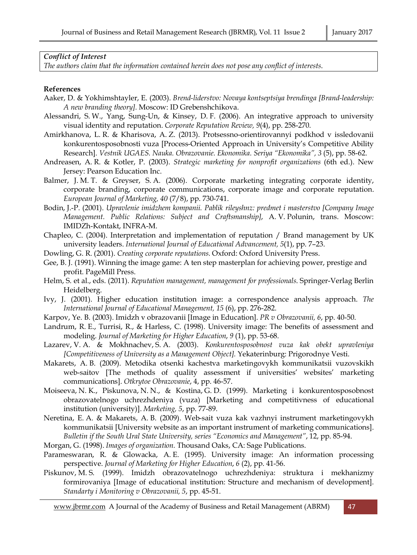## *Conflict of Interest*

*The authors claim that the information contained herein does not pose any conflict of interests*.

#### **References**

- Aaker, D. & Yokhimshtayler, E. (2003). *Brend-liderstvo: Novaya kontseptsiya brendinga [Brand-leadership: A new branding theory].* Moscow: ID Grebenshchikova.
- Alessandri, S. W., Yang, Sung-Un, & Kinsey, D. F. (2006). An integrative approach to university visual identity and reputation. *Corporate Reputation Review, 9*(4), pp. 258-270.
- Amirkhanova, L. R. & Kharisova, A. Z. (2013). Protsessno-orientirovannyi podkhod v issledovanii konkurentosposobnosti vuza [Process-Oriented Approach in University's Competitive Ability Research]. *Vestnik UGAES. Nauka. Obrazovanie. Ekonomika. Seriya "Ekonomika", 3* (5), pp. 58-62.
- Andreasen, A. R. & Kotler, P. (2003). *Strategic marketing for nonprofit organizations* (6th ed.). New Jersey: Pearson Education Inc.
- Balmer, J. M. T. & Greyser, S. A. (2006). Corporate marketing integrating corporate identity, corporate branding, corporate communications, corporate image and corporate reputation. *European Journal of Marketing, 40* (7/8), pp. 730-741.
- Bodin, J.-P. (2001). *Upravlenie imidzhem kompanii. Pablik rileyshnz: predmet i masterstvo [Company Image Management. Public Relations: Subject and Craftsmanship]*, A. V. Polunin, trans. Moscow: IMIDZh-Kontakt, INFRA-M.
- Chapleo, C. (2004). Interpretation and implementation of reputation / Brand management by UK university leaders. *International Journal of Educational Advancement, 5*(1), pp. 7–23.
- Dowling, G. R. (2001). *Creating corporate reputations.* Oxford: Oxford University Press.
- Gee, B. J. (1991). Winning the image game: A ten step masterplan for achieving power, prestige and profit. PageMill Press.
- Helm, S. et al., eds. (2011). *Reputation management, management for professionals*. Springer-Verlag Berlin Heidelberg.
- Ivy, J. (2001). Higher education institution image: a correspondence analysis approach. *The International Journal of Educational Management, 15* (6), pp. 276-282.
- Karpov, Ye. B. (2003). Imidzh v obrazovanii [Image in Education]. *PR v Obrazovanii, 6*, pp. 40-50.
- Landrum, R. E., Turrisi, R., & Harless, C. (1998). University image: The benefits of assessment and modeling. *Journal of Marketing for Higher Education*, *9* (1), pp. 53-68.
- Lazarev, V. A. & Mokhnachev, S. A. (2003). *Konkurentosposobnost vuza kak obekt upravleniya [Competitiveness of University as a Management Object].* Yekaterinburg: Prigorodnye Vesti.
- Makarets, A. B. (2009). Metodika otsenki kachestva marketingovykh kommunikatsii vuzovskikh web-saitov [The methods of quality assessment if universities' websites' marketing communications]. *Otkrytoe Obrazovanie*, 4, pp. 46-57.
- Moiseeva, N. K., Piskunova, N. N., & Kostina, G. D. (1999). Marketing i konkurentosposobnost obrazovatelnogo uchrezhdeniya (vuza) [Marketing and competitivness of educational institution (university)]. *Marketing, 5*, pp. 77-89.
- Neretina, E. A. & Makarets, A. B. (2009). Web-sait vuza kak vazhnyi instrument marketingovykh kommunikatsii [University website as an important instrument of marketing communications]. *Bulletin if the South Ural State University, series "Economics and Management"*, 12, pp. 85-94.
- Morgan, G. (1998). *Images of organization.* Thousand Oaks, CA: Sage Publications.
- Parameswaran, R. & Glowacka, A. E. (1995). University image: An information processing perspective. *Journal of Marketing for Higher Education*, *6* (2), pp. 41-56.
- Piskunov, M. S. (1999). Imidzh obrazovatelnogo uchrezhdeniya: struktura i mekhanizmy formirovaniya [Image of educational institution: Structure and mechanism of development]. *Standarty i Monitoring v Obrazovanii, 5*, pp. 45-51.